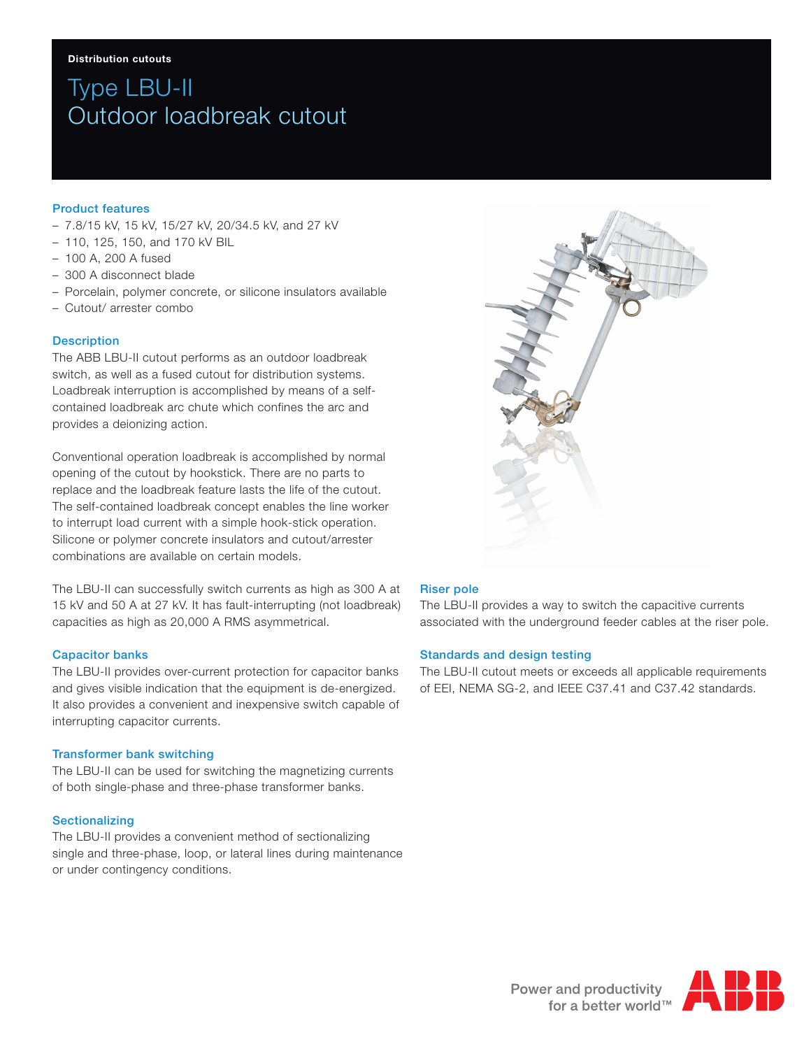# Type LBU-II Outdoor loadbreak cutout

## Product features

- 7.8/15 kV, 15 kV, 15/27 kV, 20/34.5 kV, and 27 kV
- 110, 125, 150, and 170 kV BIL
- 100 A, 200 A fused
- 300 A disconnect blade
- Porcelain, polymer concrete, or silicone insulators available
- Cutout/ arrester combo

### **Description**

The ABB LBU-II cutout performs as an outdoor loadbreak switch, as well as a fused cutout for distribution systems. Loadbreak interruption is accomplished by means of a selfcontained loadbreak arc chute which confines the arc and provides a deionizing action.

Conventional operation loadbreak is accomplished by normal opening of the cutout by hookstick. There are no parts to replace and the loadbreak feature lasts the life of the cutout. The self-contained loadbreak concept enables the line worker to interrupt load current with a simple hook-stick operation. Silicone or polymer concrete insulators and cutout/arrester combinations are available on certain models.

The LBU-II can successfully switch currents as high as 300 A at 15 kV and 50 A at 27 kV. It has fault-interrupting (not loadbreak) capacities as high as 20,000 A RMS asymmetrical.

### Capacitor banks

The LBU-II provides over-current protection for capacitor banks and gives visible indication that the equipment is de-energized. It also provides a convenient and inexpensive switch capable of interrupting capacitor currents.

### Transformer bank switching

The LBU-II can be used for switching the magnetizing currents of both single-phase and three-phase transformer banks.

### Sectionalizing

The LBU-II provides a convenient method of sectionalizing single and three-phase, loop, or lateral lines during maintenance or under contingency conditions.



# Riser pole

The LBU-II provides a way to switch the capacitive currents associated with the underground feeder cables at the riser pole.

### Standards and design testing

The LBU-II cutout meets or exceeds all applicable requirements of EEI, NEMA SG-2, and IEEE C37.41 and C37.42 standards.

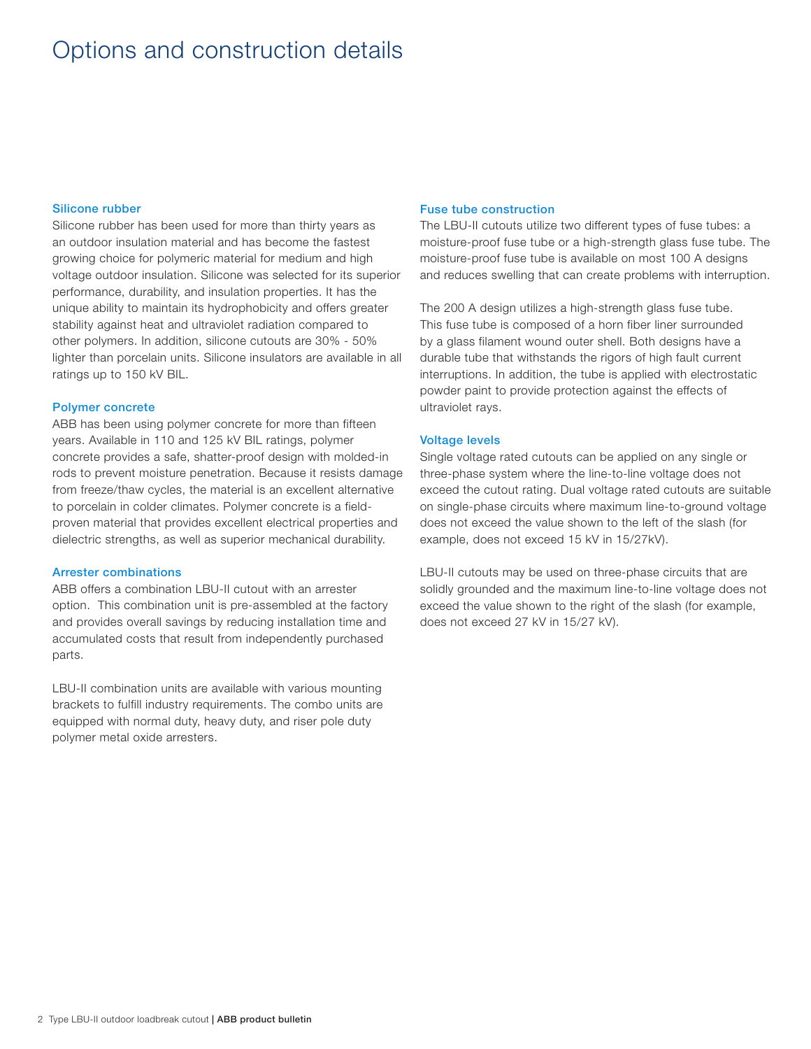# Options and construction details

### Silicone rubber

Silicone rubber has been used for more than thirty years as an outdoor insulation material and has become the fastest growing choice for polymeric material for medium and high voltage outdoor insulation. Silicone was selected for its superior performance, durability, and insulation properties. It has the unique ability to maintain its hydrophobicity and offers greater stability against heat and ultraviolet radiation compared to other polymers. In addition, silicone cutouts are 30% - 50% lighter than porcelain units. Silicone insulators are available in all ratings up to 150 kV BIL.

### Polymer concrete

ABB has been using polymer concrete for more than fifteen years. Available in 110 and 125 kV BIL ratings, polymer concrete provides a safe, shatter-proof design with molded-in rods to prevent moisture penetration. Because it resists damage from freeze/thaw cycles, the material is an excellent alternative to porcelain in colder climates. Polymer concrete is a fieldproven material that provides excellent electrical properties and dielectric strengths, as well as superior mechanical durability.

### Arrester combinations

ABB offers a combination LBU-II cutout with an arrester option. This combination unit is pre-assembled at the factory and provides overall savings by reducing installation time and accumulated costs that result from independently purchased parts.

LBU-II combination units are available with various mounting brackets to fulfill industry requirements. The combo units are equipped with normal duty, heavy duty, and riser pole duty polymer metal oxide arresters.

#### Fuse tube construction

The LBU-II cutouts utilize two different types of fuse tubes: a moisture-proof fuse tube or a high-strength glass fuse tube. The moisture-proof fuse tube is available on most 100 A designs and reduces swelling that can create problems with interruption.

The 200 A design utilizes a high-strength glass fuse tube. This fuse tube is composed of a horn fiber liner surrounded by a glass filament wound outer shell. Both designs have a durable tube that withstands the rigors of high fault current interruptions. In addition, the tube is applied with electrostatic powder paint to provide protection against the effects of ultraviolet rays.

### Voltage levels

Single voltage rated cutouts can be applied on any single or three-phase system where the line-to-line voltage does not exceed the cutout rating. Dual voltage rated cutouts are suitable on single-phase circuits where maximum line-to-ground voltage does not exceed the value shown to the left of the slash (for example, does not exceed 15 kV in 15/27kV).

LBU-II cutouts may be used on three-phase circuits that are solidly grounded and the maximum line-to-line voltage does not exceed the value shown to the right of the slash (for example, does not exceed 27 kV in 15/27 kV).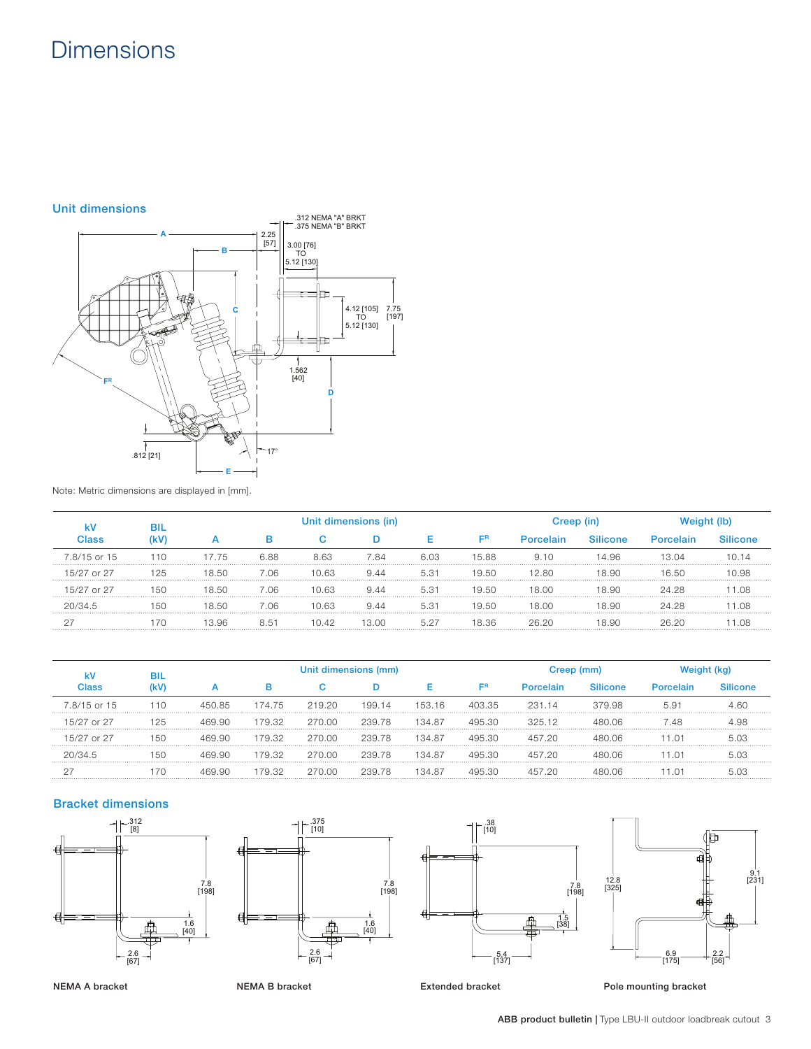# **Dimensions**



Note: Metric dimensions are displayed in [mm].

| Silicone<br>(kV<br>ER<br>lass:<br>Porcelain<br>Porcelain<br>D<br>u<br>7.8/15 or 15<br>110<br>6.03<br>15.88<br>6.88<br>8.63<br>7.84<br>14.96<br>7.75<br>9.10<br>13 N4<br>15/27 or 27<br>125<br>8.50<br>7 റട<br>10.63<br>5.31<br>19.50<br>12 RN<br>18.90<br>16.50<br>944<br>-Q.S<br>15/27 or 27<br>150<br>5.31<br>7 റട<br>19.50<br>944<br>18 N.N<br>18.90<br>24.28<br>8.50<br>10.63<br>19.50<br>18.90<br>7 റ6<br>10.63<br>5.31<br>18 N.N<br>8.50<br>24 28<br>944<br>20/34h<br><b>50</b> |  | BIL | Unit dimensions (in) |      |       |       |      | reep (in) |       |       |       |  |
|---------------------------------------------------------------------------------------------------------------------------------------------------------------------------------------------------------------------------------------------------------------------------------------------------------------------------------------------------------------------------------------------------------------------------------------------------------------------------------------|--|-----|----------------------|------|-------|-------|------|-----------|-------|-------|-------|--|
|                                                                                                                                                                                                                                                                                                                                                                                                                                                                                       |  |     |                      |      |       |       |      |           |       |       |       |  |
|                                                                                                                                                                                                                                                                                                                                                                                                                                                                                       |  |     |                      |      |       |       |      |           |       |       |       |  |
|                                                                                                                                                                                                                                                                                                                                                                                                                                                                                       |  |     |                      |      |       |       |      |           |       |       |       |  |
|                                                                                                                                                                                                                                                                                                                                                                                                                                                                                       |  |     |                      |      |       |       |      |           |       |       |       |  |
|                                                                                                                                                                                                                                                                                                                                                                                                                                                                                       |  |     |                      |      |       |       |      |           |       |       |       |  |
|                                                                                                                                                                                                                                                                                                                                                                                                                                                                                       |  |     | 396                  | 8.51 | 10.42 | 13 NO | 5 27 | 8.36      | 26 20 | 18.90 | 26 20 |  |

|              | вı  | Unit dimensions (mm) |        |        |        |        | Creep (mm) |                  |                 |           |         |
|--------------|-----|----------------------|--------|--------|--------|--------|------------|------------------|-----------------|-----------|---------|
| :lass        |     |                      |        |        |        |        | ER         | <b>Porcelain</b> | <b>Silicone</b> | Porcelain | ilicone |
| 7.8/15 or 15 | 110 | 450.85               | 174.75 | 219.20 | 199.14 | 153.16 | 403.35     | 231 14           | 379.98          | 5.91      |         |
| 15/27 or 27  | 125 | 469.90               | 179.32 | 270.00 | 239.78 | 134 87 | 495.30     | 32512            | 480 O6          | -48       |         |
| 15/27 or 27  | 150 | 469 AN               | 179.32 | 270.00 | 239.78 | 134 87 | -30        |                  | N 06            |           |         |
|              |     |                      | 179.32 | 270 OC | 239.78 | 134 87 |            |                  | ገ በ6            |           |         |
|              |     |                      | -32    | 270 OC | 239.78 | 134 87 |            |                  | ነ በፍ            |           |         |

# Bracket dimensions









Extended bracket Pole mounting bracket

NEMA A bracket

NEMA B bracket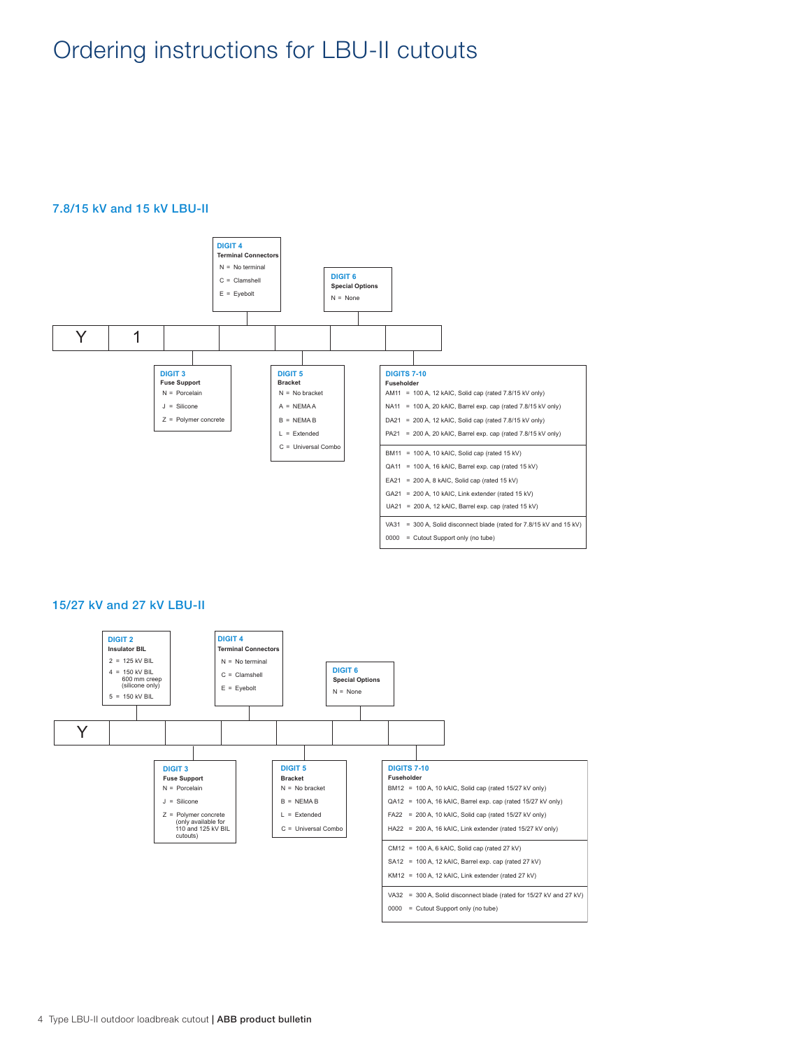# Ordering instructions for LBU-II cutouts

# 7.8/15 kV and 15 kV LBU-II



## 15/27 kV and 27 kV LBU-II

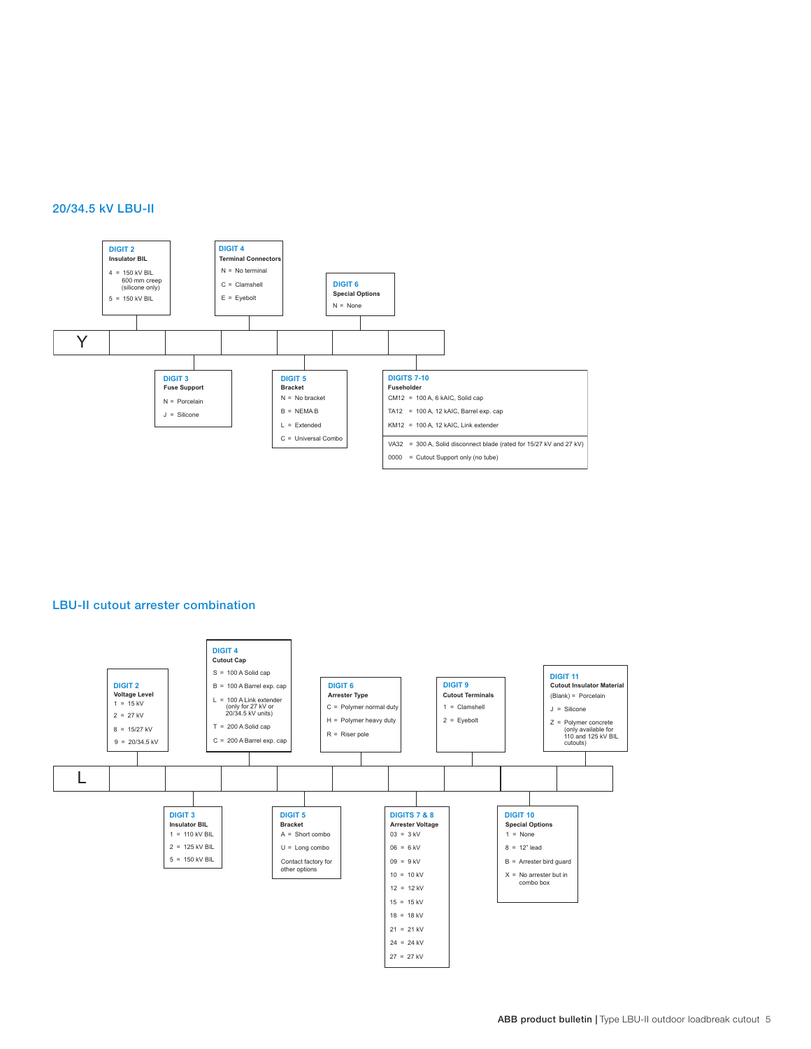### 20/34.5 kV LBU-II



# LBU-II cutout arrester combination

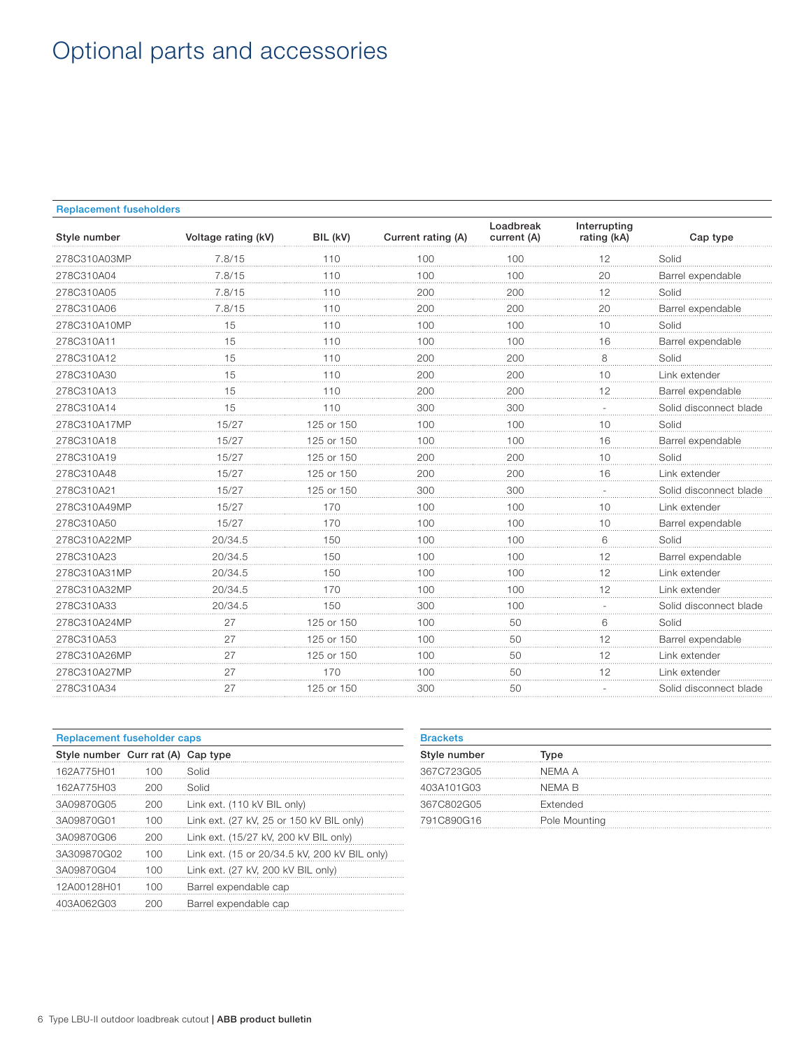# Optional parts and accessories

### Replacement fuseholders

| Style number | Voltage rating (kV) | BIL (kV)   | Current rating (A) | Loadbreak<br>current (A) | Interrupting<br>rating (kA) | Cap type               |
|--------------|---------------------|------------|--------------------|--------------------------|-----------------------------|------------------------|
| 278C310A03MP | 7.8/15              | 110        | 100                | 100                      | 12                          | Solid                  |
| 278C310A04   | 7.8/15              | 110        | 100                | 100                      | 20                          | Barrel expendable      |
| 278C310A05   | 7.8/15              | 110        | 200                | 200                      | 12                          | Solid                  |
| 278C310A06   | 7.8/15              | 110        | 200                | 200                      | 20                          | Barrel expendable      |
| 278C310A10MP | 15                  | 110        | 100                | 100                      | 10                          | Solid                  |
| 278C310A11   | 15                  | 110        | 100                | 100                      | 16                          | Barrel expendable      |
| 278C310A12   | 15                  | 110        | 200                | 200                      | 8                           | Solid                  |
| 278C310A30   | 15<br>              | 110        | 200                | 200                      | 10                          | Link extender          |
| 278C310A13   | 15                  | 110        | 200                | 200                      | 12                          | Barrel expendable      |
| 278C310A14   | 15                  | 110        | 300                | 300                      |                             | Solid disconnect blade |
| 278C310A17MP | 15/27               | 125 or 150 | 100                | 100                      | 10                          | Solid                  |
| 278C310A18   | 15/27               | 125 or 150 | 100                | 100                      | 16                          | Barrel expendable      |
| 278C310A19   | 15/27               | 125 or 150 | 200                | 200                      | 10                          | Solid                  |
| 278C310A48   | 15/27               | 125 or 150 | 200                | 200                      | 16                          | Link extender          |
| 278C310A21   | 15/27               | 125 or 150 | 300                | 300                      |                             | Solid disconnect blade |
| 278C310A49MP | 15/27               | 170        | 100                | 100                      | 10                          | Link extender          |
| 278C310A50   | 15/27               | 170        | 100                | 100                      | 10                          | Barrel expendable      |
| 278C310A22MP | 20/34.5             | 150        | 100                | 100                      | 6                           | Solid                  |
| 278C310A23   | 20/34.5             | 150        | 100                | 100                      | 12                          | Barrel expendable      |
| 278C310A31MP | 20/34.5             | 150        | 100                | 100                      | 12                          | Link extender          |
| 278C310A32MP | 20/34.5             | 170        | 100                | 100                      | 12                          | Link extender          |
| 278C310A33   | 20/34.5             | 150        | 300                | 100                      |                             | Solid disconnect blade |
| 278C310A24MP | 27                  | 125 or 150 | 100                | 50                       | 6                           | Solid                  |
| 278C310A53   | 27<br>.             | 125 or 150 | 100                | 50                       | 12<br>.                     | Barrel expendable      |
| 278C310A26MP | 27                  | 125 or 150 | 100                | 50                       | 12                          | Link extender          |
| 278C310A27MP | 27                  | 170        | 100                | 50                       | 12                          | Link extender          |
| 278C310A34   | 27                  | 125 or 150 | 300                | 50                       |                             | Solid disconnect blade |

| Replacement fuseholder caps        |     |                                               |  |  |  |  |  |
|------------------------------------|-----|-----------------------------------------------|--|--|--|--|--|
| Style number Curr rat (A) Cap type |     |                                               |  |  |  |  |  |
| 162A775H01                         | 100 | Solid                                         |  |  |  |  |  |
| 162A775H03                         | 200 | Solid                                         |  |  |  |  |  |
| 3A09870G05                         | 200 | Link ext. (110 kV BIL only)                   |  |  |  |  |  |
| 3A09870G01                         | 100 | Link ext. (27 kV, 25 or 150 kV BIL only)      |  |  |  |  |  |
| 3A09870G06                         | 200 | Link ext. (15/27 kV, 200 kV BIL only)         |  |  |  |  |  |
| 3A309870G02                        | 100 | Link ext. (15 or 20/34.5 kV, 200 kV BIL only) |  |  |  |  |  |
| 3A09870G04                         | 100 | Link ext. (27 kV, 200 kV BIL only)            |  |  |  |  |  |
| 12A00128H01                        | 100 | Barrel expendable cap                         |  |  |  |  |  |
| 403A062G03                         | 200 | Barrel expendable cap                         |  |  |  |  |  |

| <b>Brackets</b> |               |  |  |  |  |  |  |
|-----------------|---------------|--|--|--|--|--|--|
| Style number    | Type          |  |  |  |  |  |  |
| 367C723G05      | NEMA A        |  |  |  |  |  |  |
| 403A101G03      | NEMA B        |  |  |  |  |  |  |
| 367C802G05      | Extended      |  |  |  |  |  |  |
| 791C890G16      | Pole Mounting |  |  |  |  |  |  |
|                 |               |  |  |  |  |  |  |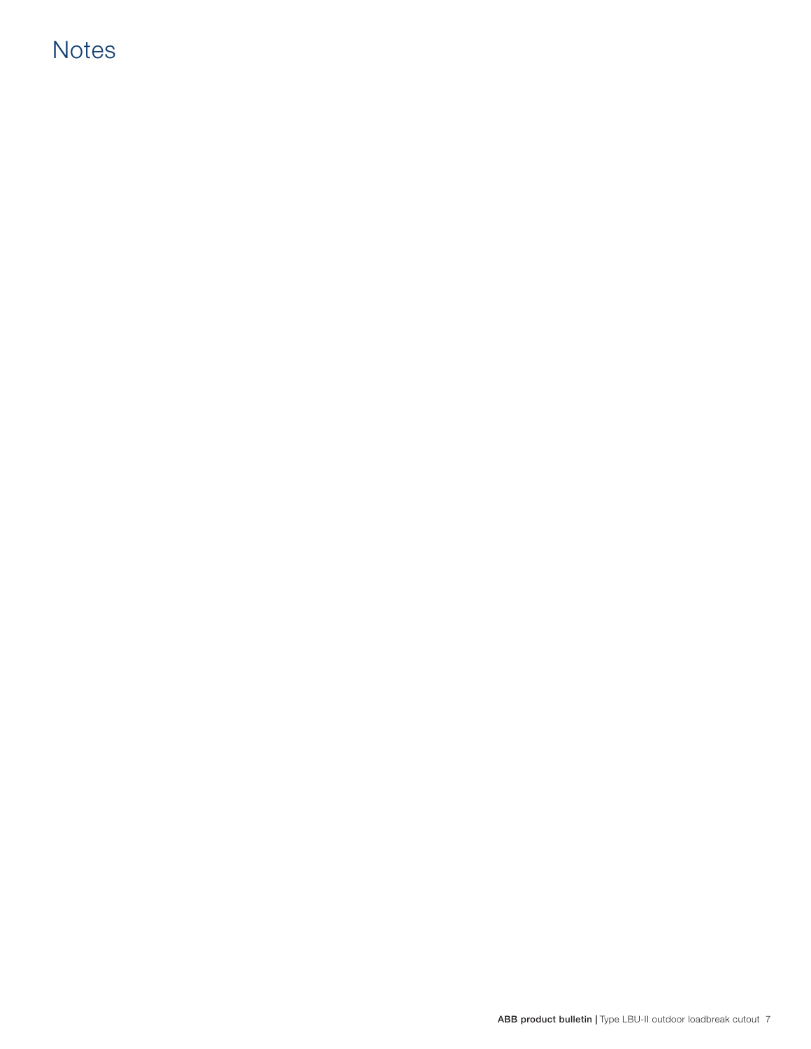# **Notes**